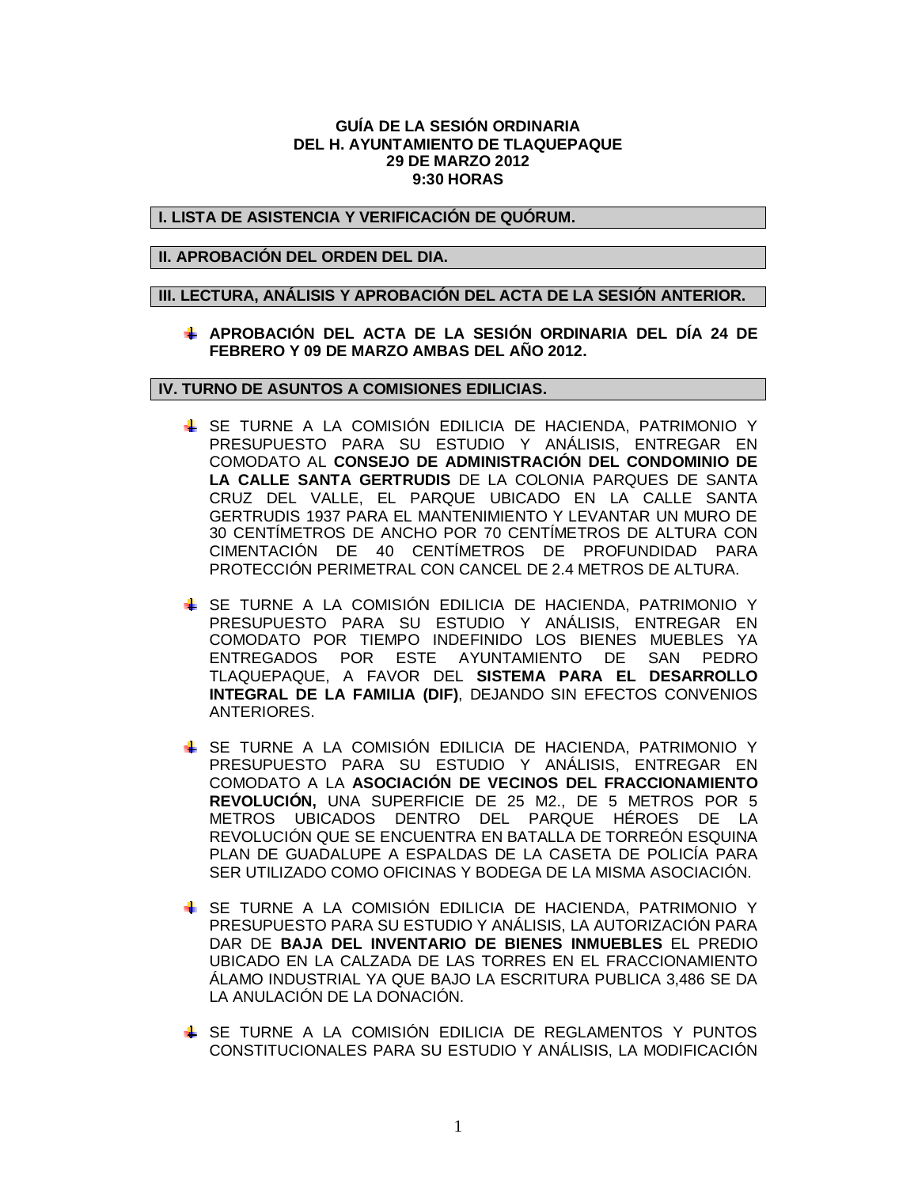## **GUÍA DE LA SESIÓN ORDINARIA DEL H. AYUNTAMIENTO DE TLAQUEPAQUE 29 DE MARZO 2012 9:30 HORAS**

### **I. LISTA DE ASISTENCIA Y VERIFICACIÓN DE QUÓRUM.**

## **II. APROBACIÓN DEL ORDEN DEL DIA.**

## **III. LECTURA, ANÁLISIS Y APROBACIÓN DEL ACTA DE LA SESIÓN ANTERIOR.**

# **APROBACIÓN DEL ACTA DE LA SESIÓN ORDINARIA DEL DÍA 24 DE FEBRERO Y 09 DE MARZO AMBAS DEL AÑO 2012.**

## **IV. TURNO DE ASUNTOS A COMISIONES EDILICIAS.**

- SE TURNE A LA COMISIÓN EDILICIA DE HACIENDA, PATRIMONIO Y PRESUPUESTO PARA SU ESTUDIO Y ANÁLISIS, ENTREGAR EN COMODATO AL **CONSEJO DE ADMINISTRACIÓN DEL CONDOMINIO DE LA CALLE SANTA GERTRUDIS** DE LA COLONIA PARQUES DE SANTA CRUZ DEL VALLE, EL PARQUE UBICADO EN LA CALLE SANTA GERTRUDIS 1937 PARA EL MANTENIMIENTO Y LEVANTAR UN MURO DE 30 CENTÍMETROS DE ANCHO POR 70 CENTÍMETROS DE ALTURA CON CIMENTACIÓN DE 40 CENTÍMETROS DE PROFUNDIDAD PARA PROTECCIÓN PERIMETRAL CON CANCEL DE 2.4 METROS DE ALTURA.
- SE TURNE A LA COMISIÓN EDILICIA DE HACIENDA, PATRIMONIO Y PRESUPUESTO PARA SU ESTUDIO Y ANÁLISIS, ENTREGAR EN COMODATO POR TIEMPO INDEFINIDO LOS BIENES MUEBLES YA ENTREGADOS POR ESTE AYUNTAMIENTO DE SAN PEDRO TLAQUEPAQUE, A FAVOR DEL **SISTEMA PARA EL DESARROLLO INTEGRAL DE LA FAMILIA (DIF)**, DEJANDO SIN EFECTOS CONVENIOS ANTERIORES.
- SE TURNE A LA COMISIÓN EDILICIA DE HACIENDA, PATRIMONIO Y PRESUPUESTO PARA SU ESTUDIO Y ANÁLISIS, ENTREGAR EN COMODATO A LA **ASOCIACIÓN DE VECINOS DEL FRACCIONAMIENTO REVOLUCIÓN,** UNA SUPERFICIE DE 25 M2., DE 5 METROS POR 5 METROS UBICADOS DENTRO DEL PARQUE HÉROES DE LA REVOLUCIÓN QUE SE ENCUENTRA EN BATALLA DE TORREÓN ESQUINA PLAN DE GUADALUPE A ESPALDAS DE LA CASETA DE POLICÍA PARA SER UTILIZADO COMO OFICINAS Y BODEGA DE LA MISMA ASOCIACIÓN.
- SE TURNE A LA COMISIÓN EDILICIA DE HACIENDA, PATRIMONIO Y PRESUPUESTO PARA SU ESTUDIO Y ANÁLISIS, LA AUTORIZACIÓN PARA DAR DE **BAJA DEL INVENTARIO DE BIENES INMUEBLES** EL PREDIO UBICADO EN LA CALZADA DE LAS TORRES EN EL FRACCIONAMIENTO ÁLAMO INDUSTRIAL YA QUE BAJO LA ESCRITURA PUBLICA 3,486 SE DA LA ANULACIÓN DE LA DONACIÓN.
- **↓** SE TURNE A LA COMISIÓN EDILICIA DE REGLAMENTOS Y PUNTOS CONSTITUCIONALES PARA SU ESTUDIO Y ANÁLISIS, LA MODIFICACIÓN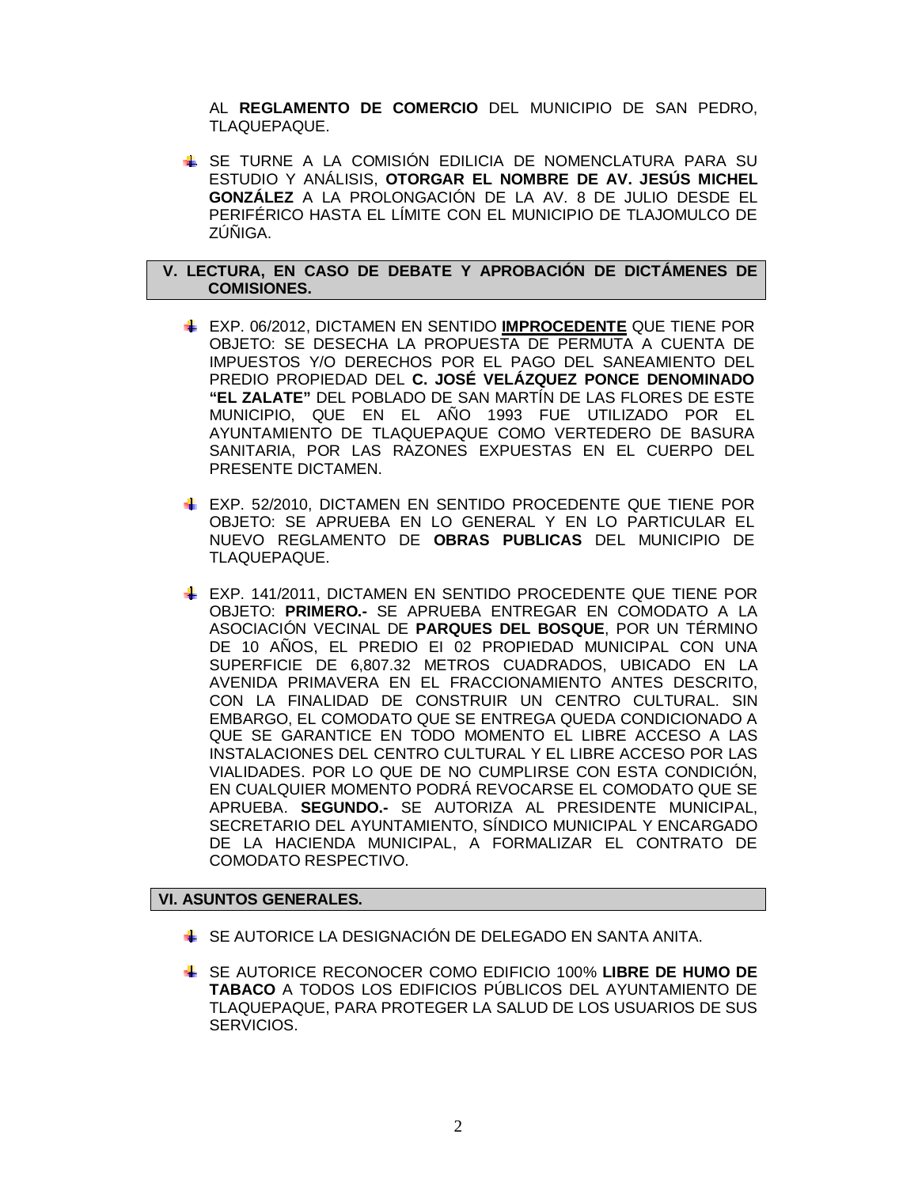AL **REGLAMENTO DE COMERCIO** DEL MUNICIPIO DE SAN PEDRO, TLAQUEPAQUE.

SE TURNE A LA COMISIÓN EDILICIA DE NOMENCLATURA PARA SU ESTUDIO Y ANÁLISIS, **OTORGAR EL NOMBRE DE AV. JESÚS MICHEL GONZÁLEZ** A LA PROLONGACIÓN DE LA AV. 8 DE JULIO DESDE EL PERIFÉRICO HASTA EL LÍMITE CON EL MUNICIPIO DE TLAJOMULCO DE ZÚÑIGA.

## **V. LECTURA, EN CASO DE DEBATE Y APROBACIÓN DE DICTÁMENES DE COMISIONES.**

- EXP. 06/2012, DICTAMEN EN SENTIDO **IMPROCEDENTE** QUE TIENE POR OBJETO: SE DESECHA LA PROPUESTA DE PERMUTA A CUENTA DE IMPUESTOS Y/O DERECHOS POR EL PAGO DEL SANEAMIENTO DEL PREDIO PROPIEDAD DEL **C. JOSÉ VELÁZQUEZ PONCE DENOMINADO "EL ZALATE"** DEL POBLADO DE SAN MARTÍN DE LAS FLORES DE ESTE MUNICIPIO, QUE EN EL AÑO 1993 FUE UTILIZADO POR EL AYUNTAMIENTO DE TLAQUEPAQUE COMO VERTEDERO DE BASURA SANITARIA, POR LAS RAZONES EXPUESTAS EN EL CUERPO DEL PRESENTE DICTAMEN.
- EXP. 52/2010, DICTAMEN EN SENTIDO PROCEDENTE QUE TIENE POR OBJETO: SE APRUEBA EN LO GENERAL Y EN LO PARTICULAR EL NUEVO REGLAMENTO DE **OBRAS PUBLICAS** DEL MUNICIPIO DE TLAQUEPAQUE.
- EXP. 141/2011, DICTAMEN EN SENTIDO PROCEDENTE QUE TIENE POR OBJETO: **PRIMERO.-** SE APRUEBA ENTREGAR EN COMODATO A LA ASOCIACIÓN VECINAL DE **PARQUES DEL BOSQUE**, POR UN TÉRMINO DE 10 AÑOS, EL PREDIO EI 02 PROPIEDAD MUNICIPAL CON UNA SUPERFICIE DE 6,807.32 METROS CUADRADOS, UBICADO EN LA AVENIDA PRIMAVERA EN EL FRACCIONAMIENTO ANTES DESCRITO, CON LA FINALIDAD DE CONSTRUIR UN CENTRO CULTURAL. SIN EMBARGO, EL COMODATO QUE SE ENTREGA QUEDA CONDICIONADO A QUE SE GARANTICE EN TODO MOMENTO EL LIBRE ACCESO A LAS INSTALACIONES DEL CENTRO CULTURAL Y EL LIBRE ACCESO POR LAS VIALIDADES. POR LO QUE DE NO CUMPLIRSE CON ESTA CONDICIÓN, EN CUALQUIER MOMENTO PODRÁ REVOCARSE EL COMODATO QUE SE APRUEBA. **SEGUNDO.-** SE AUTORIZA AL PRESIDENTE MUNICIPAL, SECRETARIO DEL AYUNTAMIENTO, SÍNDICO MUNICIPAL Y ENCARGADO DE LA HACIENDA MUNICIPAL, A FORMALIZAR EL CONTRATO DE COMODATO RESPECTIVO.

# **VI. ASUNTOS GENERALES.**

- SE AUTORICE LA DESIGNACIÓN DE DELEGADO EN SANTA ANITA.
- SE AUTORICE RECONOCER COMO EDIFICIO 100% **LIBRE DE HUMO DE TABACO** A TODOS LOS EDIFICIOS PÚBLICOS DEL AYUNTAMIENTO DE TLAQUEPAQUE, PARA PROTEGER LA SALUD DE LOS USUARIOS DE SUS SERVICIOS.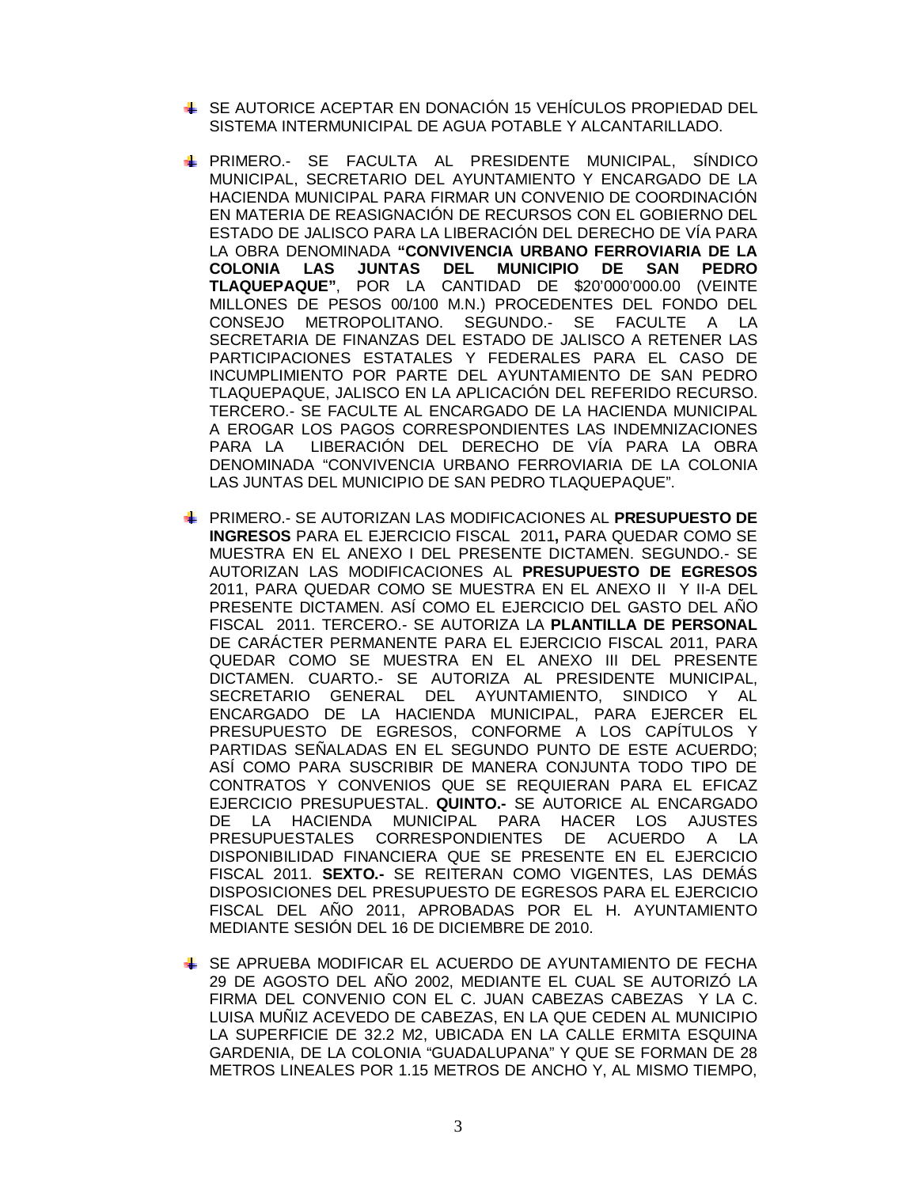- SE AUTORICE ACEPTAR EN DONACIÓN 15 VEHÍCULOS PROPIEDAD DEL SISTEMA INTERMUNICIPAL DE AGUA POTABLE Y ALCANTARILLADO.
- PRIMERO.- SE FACULTA AL PRESIDENTE MUNICIPAL, SÍNDICO MUNICIPAL, SECRETARIO DEL AYUNTAMIENTO Y ENCARGADO DE LA HACIENDA MUNICIPAL PARA FIRMAR UN CONVENIO DE COORDINACIÓN EN MATERIA DE REASIGNACIÓN DE RECURSOS CON EL GOBIERNO DEL ESTADO DE JALISCO PARA LA LIBERACIÓN DEL DERECHO DE VÍA PARA LA OBRA DENOMINADA **"CONVIVENCIA URBANO FERROVIARIA DE LA COLONIA LAS JUNTAS DEL MUNICIPIO DE SAN PEDRO TLAQUEPAQUE"**, POR LA CANTIDAD DE \$20'000'000.00 (VEINTE MILLONES DE PESOS 00/100 M.N.) PROCEDENTES DEL FONDO DEL CONSEJO METROPOLITANO. SEGUNDO.- SE FACULTE A LA SECRETARIA DE FINANZAS DEL ESTADO DE JALISCO A RETENER LAS PARTICIPACIONES ESTATALES Y FEDERALES PARA EL CASO DE INCUMPLIMIENTO POR PARTE DEL AYUNTAMIENTO DE SAN PEDRO TLAQUEPAQUE, JALISCO EN LA APLICACIÓN DEL REFERIDO RECURSO. TERCERO.- SE FACULTE AL ENCARGADO DE LA HACIENDA MUNICIPAL A EROGAR LOS PAGOS CORRESPONDIENTES LAS INDEMNIZACIONES PARA LA LIBERACIÓN DEL DERECHO DE VÍA PARA LA OBRA DENOMINADA "CONVIVENCIA URBANO FERROVIARIA DE LA COLONIA LAS JUNTAS DEL MUNICIPIO DE SAN PEDRO TLAQUEPAQUE".
- PRIMERO.- SE AUTORIZAN LAS MODIFICACIONES AL **PRESUPUESTO DE INGRESOS** PARA EL EJERCICIO FISCAL 2011**,** PARA QUEDAR COMO SE MUESTRA EN EL ANEXO I DEL PRESENTE DICTAMEN. SEGUNDO.- SE AUTORIZAN LAS MODIFICACIONES AL **PRESUPUESTO DE EGRESOS** 2011, PARA QUEDAR COMO SE MUESTRA EN EL ANEXO II Y II-A DEL PRESENTE DICTAMEN. ASÍ COMO EL EJERCICIO DEL GASTO DEL AÑO FISCAL 2011. TERCERO.- SE AUTORIZA LA **PLANTILLA DE PERSONAL** DE CARÁCTER PERMANENTE PARA EL EJERCICIO FISCAL 2011, PARA QUEDAR COMO SE MUESTRA EN EL ANEXO III DEL PRESENTE DICTAMEN. CUARTO.- SE AUTORIZA AL PRESIDENTE MUNICIPAL, SECRETARIO GENERAL DEL AYUNTAMIENTO, SINDICO Y AL ENCARGADO DE LA HACIENDA MUNICIPAL, PARA EJERCER EL PRESUPUESTO DE EGRESOS, CONFORME A LOS CAPÍTULOS Y PARTIDAS SEÑALADAS EN EL SEGUNDO PUNTO DE ESTE ACUERDO; ASÍ COMO PARA SUSCRIBIR DE MANERA CONJUNTA TODO TIPO DE CONTRATOS Y CONVENIOS QUE SE REQUIERAN PARA EL EFICAZ EJERCICIO PRESUPUESTAL. **QUINTO.-** SE AUTORICE AL ENCARGADO DE LA HACIENDA MUNICIPAL PARA HACER LOS AJUSTES PRESUPUESTALES CORRESPONDIENTES DE ACUERDO A LA DISPONIBILIDAD FINANCIERA QUE SE PRESENTE EN EL EJERCICIO FISCAL 2011. **SEXTO.-** SE REITERAN COMO VIGENTES, LAS DEMÁS DISPOSICIONES DEL PRESUPUESTO DE EGRESOS PARA EL EJERCICIO FISCAL DEL AÑO 2011, APROBADAS POR EL H. AYUNTAMIENTO MEDIANTE SESIÓN DEL 16 DE DICIEMBRE DE 2010.
- SE APRUEBA MODIFICAR EL ACUERDO DE AYUNTAMIENTO DE FECHA 29 DE AGOSTO DEL AÑO 2002, MEDIANTE EL CUAL SE AUTORIZÓ LA FIRMA DEL CONVENIO CON EL C. JUAN CABEZAS CABEZAS Y LA C. LUISA MUÑIZ ACEVEDO DE CABEZAS, EN LA QUE CEDEN AL MUNICIPIO LA SUPERFICIE DE 32.2 M2, UBICADA EN LA CALLE ERMITA ESQUINA GARDENIA, DE LA COLONIA "GUADALUPANA" Y QUE SE FORMAN DE 28 METROS LINEALES POR 1.15 METROS DE ANCHO Y, AL MISMO TIEMPO,